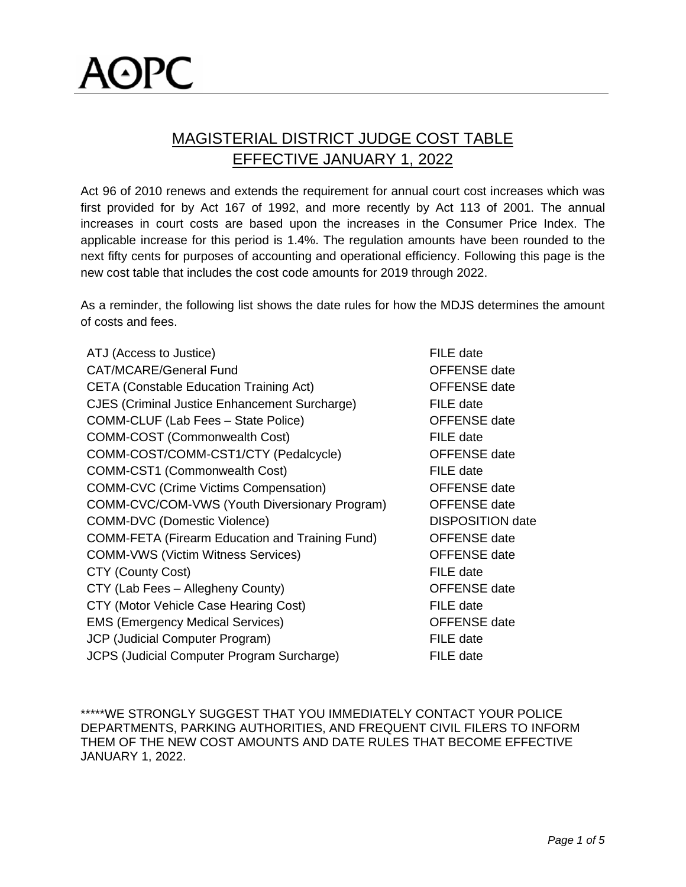## MAGISTERIAL DISTRICT JUDGE COST TABLE EFFECTIVE JANUARY 1, 2022

Act 96 of 2010 renews and extends the requirement for annual court cost increases which was first provided for by Act 167 of 1992, and more recently by Act 113 of 2001. The annual increases in court costs are based upon the increases in the Consumer Price Index. The applicable increase for this period is 1.4%. The regulation amounts have been rounded to the next fifty cents for purposes of accounting and operational efficiency. Following this page is the new cost table that includes the cost code amounts for 2019 through 2022.

As a reminder, the following list shows the date rules for how the MDJS determines the amount of costs and fees.

| ATJ (Access to Justice)                                | FILE date               |
|--------------------------------------------------------|-------------------------|
| <b>CAT/MCARE/General Fund</b>                          | <b>OFFENSE</b> date     |
| <b>CETA (Constable Education Training Act)</b>         | <b>OFFENSE</b> date     |
| <b>CJES (Criminal Justice Enhancement Surcharge)</b>   | FILE date               |
| COMM-CLUF (Lab Fees - State Police)                    | <b>OFFENSE</b> date     |
| <b>COMM-COST (Commonwealth Cost)</b>                   | FILE date               |
| COMM-COST/COMM-CST1/CTY (Pedalcycle)                   | <b>OFFENSE</b> date     |
| <b>COMM-CST1 (Commonwealth Cost)</b>                   | FILE date               |
| <b>COMM-CVC (Crime Victims Compensation)</b>           | <b>OFFENSE</b> date     |
| COMM-CVC/COM-VWS (Youth Diversionary Program)          | <b>OFFENSE</b> date     |
| <b>COMM-DVC (Domestic Violence)</b>                    | <b>DISPOSITION date</b> |
| <b>COMM-FETA (Firearm Education and Training Fund)</b> | <b>OFFENSE</b> date     |
| <b>COMM-VWS (Victim Witness Services)</b>              | <b>OFFENSE</b> date     |
| <b>CTY (County Cost)</b>                               | FILE date               |
| CTY (Lab Fees - Allegheny County)                      | <b>OFFENSE</b> date     |
| CTY (Motor Vehicle Case Hearing Cost)                  | FILE date               |
| <b>EMS (Emergency Medical Services)</b>                | <b>OFFENSE</b> date     |
| JCP (Judicial Computer Program)                        | FILE date               |
| <b>JCPS (Judicial Computer Program Surcharge)</b>      | FILE date               |
|                                                        |                         |

\*\*\*\*\*WE STRONGLY SUGGEST THAT YOU IMMEDIATELY CONTACT YOUR POLICE DEPARTMENTS, PARKING AUTHORITIES, AND FREQUENT CIVIL FILERS TO INFORM THEM OF THE NEW COST AMOUNTS AND DATE RULES THAT BECOME EFFECTIVE JANUARY 1, 2022.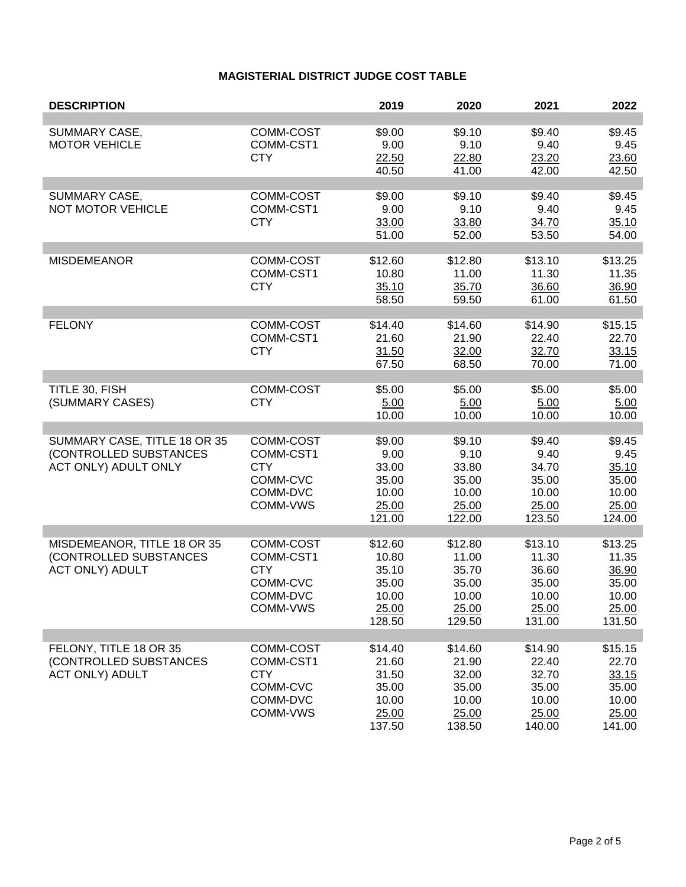## **MAGISTERIAL DISTRICT JUDGE COST TABLE**

| <b>DESCRIPTION</b>                                                              |                                                                          | 2019                                                           | 2020                                                           | 2021                                                           | 2022                                                           |
|---------------------------------------------------------------------------------|--------------------------------------------------------------------------|----------------------------------------------------------------|----------------------------------------------------------------|----------------------------------------------------------------|----------------------------------------------------------------|
| SUMMARY CASE,<br><b>MOTOR VEHICLE</b>                                           | COMM-COST<br>COMM-CST1<br><b>CTY</b>                                     | \$9.00<br>9.00<br>22.50<br>40.50                               | \$9.10<br>9.10<br>22.80<br>41.00                               | \$9.40<br>9.40<br>23.20<br>42.00                               | \$9.45<br>9.45<br>23.60<br>42.50                               |
| SUMMARY CASE,<br><b>NOT MOTOR VEHICLE</b>                                       | COMM-COST<br>COMM-CST1<br><b>CTY</b>                                     | \$9.00<br>9.00<br>33.00<br>51.00                               | \$9.10<br>9.10<br>33.80<br>52.00                               | \$9.40<br>9.40<br>34.70<br>53.50                               | \$9.45<br>9.45<br>35.10<br>54.00                               |
| <b>MISDEMEANOR</b>                                                              | COMM-COST<br>COMM-CST1<br><b>CTY</b>                                     | \$12.60<br>10.80<br>35.10<br>58.50                             | \$12.80<br>11.00<br>35.70<br>59.50                             | \$13.10<br>11.30<br>36.60<br>61.00                             | \$13.25<br>11.35<br>36.90<br>61.50                             |
| <b>FELONY</b>                                                                   | COMM-COST<br>COMM-CST1<br><b>CTY</b>                                     | \$14.40<br>21.60<br>31.50<br>67.50                             | \$14.60<br>21.90<br>32.00<br>68.50                             | \$14.90<br>22.40<br>32.70<br>70.00                             | \$15.15<br>22.70<br>33.15<br>71.00                             |
| TITLE 30, FISH<br>(SUMMARY CASES)                                               | COMM-COST<br><b>CTY</b>                                                  | \$5.00<br>5.00<br>10.00                                        | \$5.00<br>5.00<br>10.00                                        | \$5.00<br>5.00<br>10.00                                        | \$5.00<br>5.00<br>10.00                                        |
| SUMMARY CASE, TITLE 18 OR 35<br>(CONTROLLED SUBSTANCES<br>ACT ONLY) ADULT ONLY  | COMM-COST<br>COMM-CST1<br><b>CTY</b><br>COMM-CVC<br>COMM-DVC<br>COMM-VWS | \$9.00<br>9.00<br>33.00<br>35.00<br>10.00<br>25.00<br>121.00   | \$9.10<br>9.10<br>33.80<br>35.00<br>10.00<br>25.00<br>122.00   | \$9.40<br>9.40<br>34.70<br>35.00<br>10.00<br>25.00<br>123.50   | \$9.45<br>9.45<br>35.10<br>35.00<br>10.00<br>25.00<br>124.00   |
| MISDEMEANOR, TITLE 18 OR 35<br>(CONTROLLED SUBSTANCES<br><b>ACT ONLY) ADULT</b> | COMM-COST<br>COMM-CST1<br><b>CTY</b><br>COMM-CVC<br>COMM-DVC<br>COMM-VWS | \$12.60<br>10.80<br>35.10<br>35.00<br>10.00<br>25.00<br>128.50 | \$12.80<br>11.00<br>35.70<br>35.00<br>10.00<br>25.00<br>129.50 | \$13.10<br>11.30<br>36.60<br>35.00<br>10.00<br>25.00<br>131.00 | \$13.25<br>11.35<br>36.90<br>35.00<br>10.00<br>25.00<br>131.50 |
| FELONY, TITLE 18 OR 35<br>(CONTROLLED SUBSTANCES<br><b>ACT ONLY) ADULT</b>      | COMM-COST<br>COMM-CST1<br><b>CTY</b><br>COMM-CVC<br>COMM-DVC<br>COMM-VWS | \$14.40<br>21.60<br>31.50<br>35.00<br>10.00<br>25.00<br>137.50 | \$14.60<br>21.90<br>32.00<br>35.00<br>10.00<br>25.00<br>138.50 | \$14.90<br>22.40<br>32.70<br>35.00<br>10.00<br>25.00<br>140.00 | \$15.15<br>22.70<br>33.15<br>35.00<br>10.00<br>25.00<br>141.00 |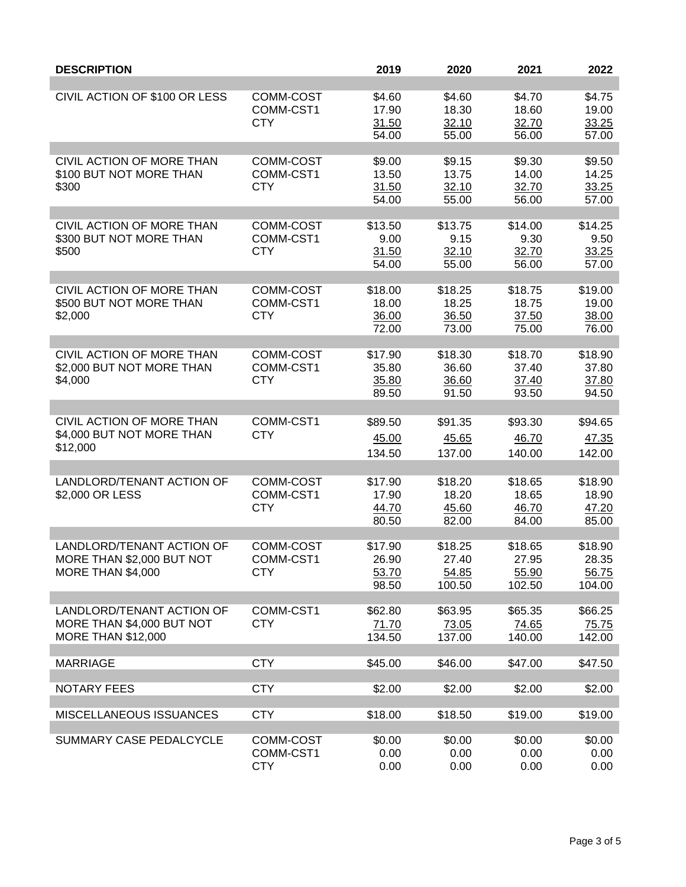| <b>DESCRIPTION</b>                                                                  |                                      | 2019                               | 2020                                | 2021                                | 2022                                |
|-------------------------------------------------------------------------------------|--------------------------------------|------------------------------------|-------------------------------------|-------------------------------------|-------------------------------------|
| CIVIL ACTION OF \$100 OR LESS                                                       | COMM-COST<br>COMM-CST1<br><b>CTY</b> | \$4.60<br>17.90<br>31.50<br>54.00  | \$4.60<br>18.30<br>32.10<br>55.00   | \$4.70<br>18.60<br>32.70<br>56.00   | \$4.75<br>19.00<br>33.25<br>57.00   |
| CIVIL ACTION OF MORE THAN<br>\$100 BUT NOT MORE THAN<br>\$300                       | COMM-COST<br>COMM-CST1<br><b>CTY</b> | \$9.00<br>13.50<br>31.50<br>54.00  | \$9.15<br>13.75<br>32.10<br>55.00   | \$9.30<br>14.00<br>32.70<br>56.00   | \$9.50<br>14.25<br>33.25<br>57.00   |
| CIVIL ACTION OF MORE THAN<br>\$300 BUT NOT MORE THAN<br>\$500                       | COMM-COST<br>COMM-CST1<br><b>CTY</b> | \$13.50<br>9.00<br>31.50<br>54.00  | \$13.75<br>9.15<br>32.10<br>55.00   | \$14.00<br>9.30<br>32.70<br>56.00   | \$14.25<br>9.50<br>33.25<br>57.00   |
| CIVIL ACTION OF MORE THAN<br>\$500 BUT NOT MORE THAN<br>\$2,000                     | COMM-COST<br>COMM-CST1<br><b>CTY</b> | \$18.00<br>18.00<br>36.00<br>72.00 | \$18.25<br>18.25<br>36.50<br>73.00  | \$18.75<br>18.75<br>37.50<br>75.00  | \$19.00<br>19.00<br>38.00<br>76.00  |
| CIVIL ACTION OF MORE THAN<br>\$2,000 BUT NOT MORE THAN<br>\$4,000                   | COMM-COST<br>COMM-CST1<br><b>CTY</b> | \$17.90<br>35.80<br>35.80<br>89.50 | \$18.30<br>36.60<br>36.60<br>91.50  | \$18.70<br>37.40<br>37.40<br>93.50  | \$18.90<br>37.80<br>37.80<br>94.50  |
| CIVIL ACTION OF MORE THAN<br>\$4,000 BUT NOT MORE THAN<br>\$12,000                  | COMM-CST1<br><b>CTY</b>              | \$89.50<br>45.00<br>134.50         | \$91.35<br>45.65<br>137.00          | \$93.30<br>46.70<br>140.00          | \$94.65<br>47.35<br>142.00          |
| LANDLORD/TENANT ACTION OF<br>\$2,000 OR LESS                                        | COMM-COST<br>COMM-CST1<br><b>CTY</b> | \$17.90<br>17.90<br>44.70<br>80.50 | \$18.20<br>18.20<br>45.60<br>82.00  | \$18.65<br>18.65<br>46.70<br>84.00  | \$18.90<br>18.90<br>47.20<br>85.00  |
| LANDLORD/TENANT ACTION OF<br>MORE THAN \$2,000 BUT NOT<br><b>MORE THAN \$4,000</b>  | COMM-COST<br>COMM-CST1<br><b>CTY</b> | \$17.90<br>26.90<br>53.70<br>98.50 | \$18.25<br>27.40<br>54.85<br>100.50 | \$18.65<br>27.95<br>55.90<br>102.50 | \$18.90<br>28.35<br>56.75<br>104.00 |
| LANDLORD/TENANT ACTION OF<br>MORE THAN \$4,000 BUT NOT<br><b>MORE THAN \$12,000</b> | COMM-CST1<br><b>CTY</b>              | \$62.80<br>71.70<br>134.50         | \$63.95<br>73.05<br>137.00          | \$65.35<br>74.65<br>140.00          | \$66.25<br>75.75<br>142.00          |
| <b>MARRIAGE</b>                                                                     | <b>CTY</b>                           | \$45.00                            | \$46.00                             | \$47.00                             | \$47.50                             |
| <b>NOTARY FEES</b>                                                                  | <b>CTY</b>                           | \$2.00                             | \$2.00                              | \$2.00                              | \$2.00                              |
| MISCELLANEOUS ISSUANCES                                                             | <b>CTY</b>                           | \$18.00                            | \$18.50                             | \$19.00                             | \$19.00                             |
| SUMMARY CASE PEDALCYCLE                                                             | COMM-COST<br>COMM-CST1<br><b>CTY</b> | \$0.00<br>0.00<br>0.00             | \$0.00<br>0.00<br>0.00              | \$0.00<br>0.00<br>0.00              | \$0.00<br>0.00<br>0.00              |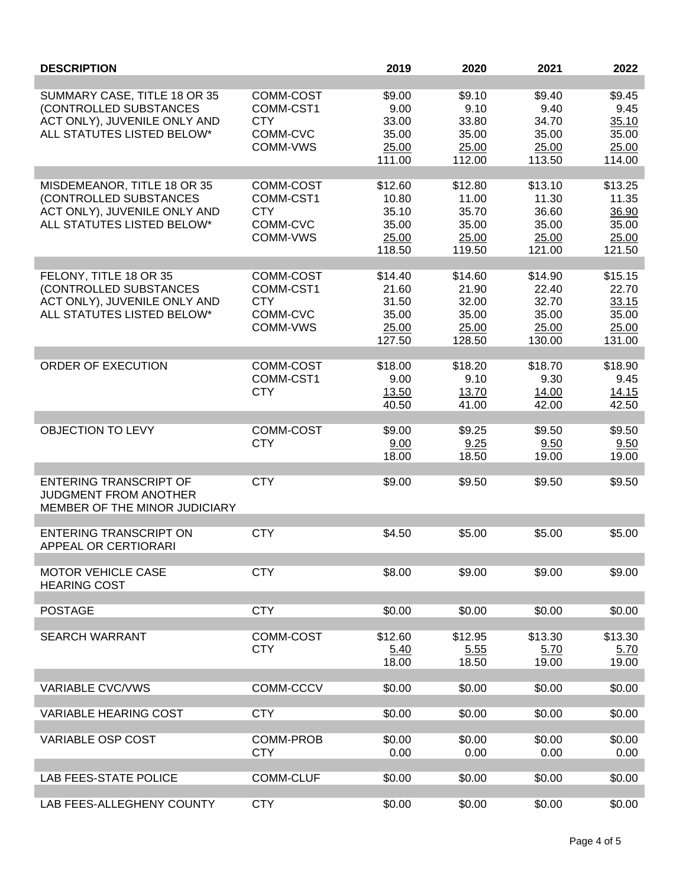| <b>DESCRIPTION</b>                                                                                                   |                                                              | 2019                                                  | 2020                                                  | 2021                                                  | 2022                                                  |
|----------------------------------------------------------------------------------------------------------------------|--------------------------------------------------------------|-------------------------------------------------------|-------------------------------------------------------|-------------------------------------------------------|-------------------------------------------------------|
| SUMMARY CASE, TITLE 18 OR 35<br>(CONTROLLED SUBSTANCES<br>ACT ONLY), JUVENILE ONLY AND<br>ALL STATUTES LISTED BELOW* | COMM-COST<br>COMM-CST1<br><b>CTY</b><br>COMM-CVC<br>COMM-VWS | \$9.00<br>9.00<br>33.00<br>35.00<br>25.00<br>111.00   | \$9.10<br>9.10<br>33.80<br>35.00<br>25.00<br>112.00   | \$9.40<br>9.40<br>34.70<br>35.00<br>25.00<br>113.50   | \$9.45<br>9.45<br>35.10<br>35.00<br>25.00<br>114.00   |
| MISDEMEANOR, TITLE 18 OR 35<br>(CONTROLLED SUBSTANCES<br>ACT ONLY), JUVENILE ONLY AND<br>ALL STATUTES LISTED BELOW*  | COMM-COST<br>COMM-CST1<br><b>CTY</b><br>COMM-CVC<br>COMM-VWS | \$12.60<br>10.80<br>35.10<br>35.00<br>25.00<br>118.50 | \$12.80<br>11.00<br>35.70<br>35.00<br>25.00<br>119.50 | \$13.10<br>11.30<br>36.60<br>35.00<br>25.00<br>121.00 | \$13.25<br>11.35<br>36.90<br>35.00<br>25.00<br>121.50 |
| FELONY, TITLE 18 OR 35<br>(CONTROLLED SUBSTANCES<br>ACT ONLY), JUVENILE ONLY AND<br>ALL STATUTES LISTED BELOW*       | COMM-COST<br>COMM-CST1<br><b>CTY</b><br>COMM-CVC<br>COMM-VWS | \$14.40<br>21.60<br>31.50<br>35.00<br>25.00<br>127.50 | \$14.60<br>21.90<br>32.00<br>35.00<br>25.00<br>128.50 | \$14.90<br>22.40<br>32.70<br>35.00<br>25.00<br>130.00 | \$15.15<br>22.70<br>33.15<br>35.00<br>25.00<br>131.00 |
| ORDER OF EXECUTION                                                                                                   | COMM-COST<br>COMM-CST1<br><b>CTY</b>                         | \$18.00<br>9.00<br>13.50<br>40.50                     | \$18.20<br>9.10<br>13.70<br>41.00                     | \$18.70<br>9.30<br>14.00<br>42.00                     | \$18.90<br>9.45<br>14.15<br>42.50                     |
| <b>OBJECTION TO LEVY</b>                                                                                             | COMM-COST<br><b>CTY</b>                                      | \$9.00<br>9.00<br>18.00                               | \$9.25<br>9.25<br>18.50                               | \$9.50<br>9.50<br>19.00                               | \$9.50<br>9.50<br>19.00                               |
| <b>ENTERING TRANSCRIPT OF</b><br><b>JUDGMENT FROM ANOTHER</b><br>MEMBER OF THE MINOR JUDICIARY                       | <b>CTY</b>                                                   | \$9.00                                                | \$9.50                                                | \$9.50                                                | \$9.50                                                |
| <b>ENTERING TRANSCRIPT ON</b><br>APPEAL OR CERTIORARI                                                                | <b>CTY</b>                                                   | \$4.50                                                | \$5.00                                                | \$5.00                                                | \$5.00                                                |
| <b>MOTOR VEHICLE CASE</b><br><b>HEARING COST</b>                                                                     | <b>CTY</b>                                                   | \$8.00                                                | \$9.00                                                | \$9.00                                                | \$9.00                                                |
| <b>POSTAGE</b>                                                                                                       | <b>CTY</b>                                                   | \$0.00                                                | \$0.00                                                | \$0.00                                                | \$0.00                                                |
| <b>SEARCH WARRANT</b>                                                                                                | COMM-COST<br><b>CTY</b>                                      | \$12.60<br>5.40<br>18.00                              | \$12.95<br>5.55<br>18.50                              | \$13.30<br>5.70<br>19.00                              | \$13.30<br>5.70<br>19.00                              |
| <b>VARIABLE CVC/VWS</b>                                                                                              | COMM-CCCV                                                    | \$0.00                                                | \$0.00                                                | \$0.00                                                | \$0.00                                                |
| <b>VARIABLE HEARING COST</b>                                                                                         | <b>CTY</b>                                                   | \$0.00                                                | \$0.00                                                | \$0.00                                                | \$0.00                                                |
| VARIABLE OSP COST                                                                                                    | COMM-PROB<br><b>CTY</b>                                      | \$0.00<br>0.00                                        | \$0.00<br>0.00                                        | \$0.00<br>0.00                                        | \$0.00<br>0.00                                        |
| <b>LAB FEES-STATE POLICE</b>                                                                                         | <b>COMM-CLUF</b>                                             | \$0.00                                                | \$0.00                                                | \$0.00                                                | \$0.00                                                |
| LAB FEES-ALLEGHENY COUNTY                                                                                            | <b>CTY</b>                                                   | \$0.00                                                | \$0.00                                                | \$0.00                                                | \$0.00                                                |